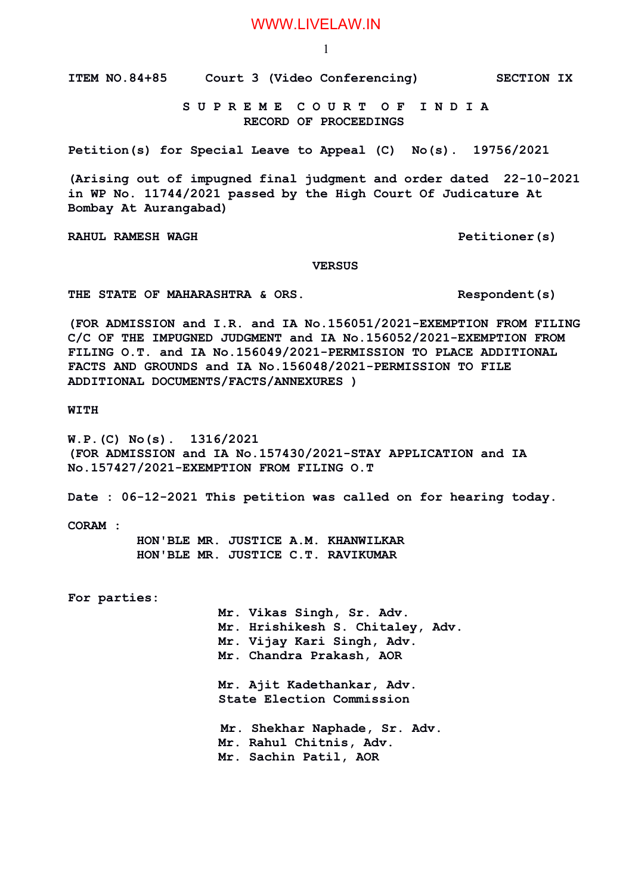1

**ITEM NO.84+85 Court 3 (Video Conferencing) SECTION IX**

 **S U P R E M E C O U R T O F I N D I A RECORD OF PROCEEDINGS**

**Petition(s) for Special Leave to Appeal (C) No(s). 19756/2021**

**(Arising out of impugned final judgment and order dated 22-10-2021 in WP No. 11744/2021 passed by the High Court Of Judicature At Bombay At Aurangabad)**

**RAHUL RAMESH WAGH PETITIONER AND RAHUL RAMESH WAGH** 

 **VERSUS**

**THE STATE OF MAHARASHTRA & ORS. Respondent(s)**

**(FOR ADMISSION and I.R. and IA No.156051/2021-EXEMPTION FROM FILING C/C OF THE IMPUGNED JUDGMENT and IA No.156052/2021-EXEMPTION FROM FILING O.T. and IA No.156049/2021-PERMISSION TO PLACE ADDITIONAL FACTS AND GROUNDS and IA No.156048/2021-PERMISSION TO FILE ADDITIONAL DOCUMENTS/FACTS/ANNEXURES )**

**WITH**

**W.P.(C) No(s). 1316/2021 (FOR ADMISSION and IA No.157430/2021-STAY APPLICATION and IA No.157427/2021-EXEMPTION FROM FILING O.T**

**Date : 06-12-2021 This petition was called on for hearing today.**

**CORAM :** 

 **HON'BLE MR. JUSTICE A.M. KHANWILKAR HON'BLE MR. JUSTICE C.T. RAVIKUMAR**

**For parties:**

**Mr. Vikas Singh, Sr. Adv. Mr. Hrishikesh S. Chitaley, Adv. Mr. Vijay Kari Singh, Adv. Mr. Chandra Prakash, AOR Mr. Ajit Kadethankar, Adv. State Election Commission Mr. Shekhar Naphade, Sr. Adv.** 

**Mr. Rahul Chitnis, Adv. Mr. Sachin Patil, AOR**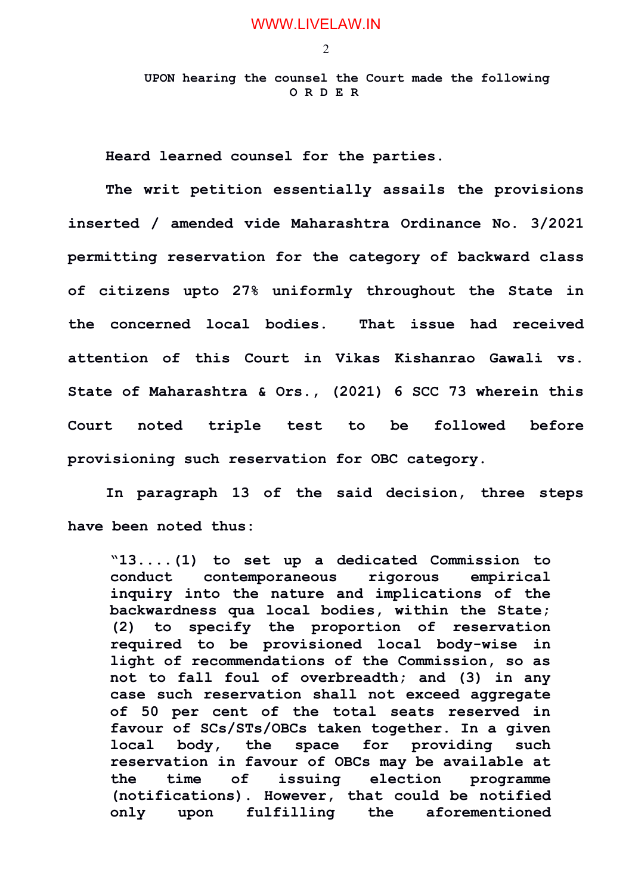2

 **UPON hearing the counsel the Court made the following O R D E R**

**Heard learned counsel for the parties.**

**The writ petition essentially assails the provisions inserted / amended vide Maharashtra Ordinance No. 3/2021 permitting reservation for the category of backward class of citizens upto 27% uniformly throughout the State in the concerned local bodies. That issue had received attention of this Court in Vikas Kishanrao Gawali vs. State of Maharashtra & Ors., (2021) 6 SCC 73 wherein this Court noted triple test to be followed before provisioning such reservation for OBC category.**

**In paragraph 13 of the said decision, three steps have been noted thus:**

**"13....(1) to set up a dedicated Commission to conduct contemporaneous rigorous empirical inquiry into the nature and implications of the backwardness qua local bodies, within the State; (2) to specify the proportion of reservation required to be provisioned local body-wise in light of recommendations of the Commission, so as not to fall foul of overbreadth; and (3) in any case such reservation shall not exceed aggregate of 50 per cent of the total seats reserved in favour of SCs/STs/OBCs taken together. In a given local body, the space for providing such reservation in favour of OBCs may be available at the time of issuing election programme (notifications). However, that could be notified only upon fulfilling the aforementioned**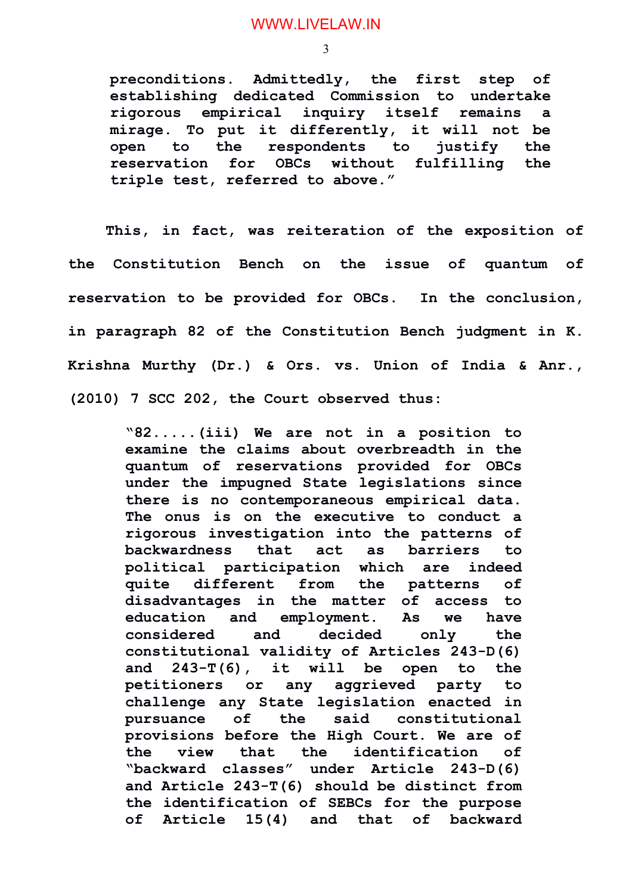3

**preconditions. Admittedly, the first step of establishing dedicated Commission to undertake rigorous empirical inquiry itself remains a mirage. To put it differently, it will not be open to the respondents to justify the reservation for OBCs without fulfilling the triple test, referred to above."**

**This, in fact, was reiteration of the exposition of the Constitution Bench on the issue of quantum of reservation to be provided for OBCs. In the conclusion, in paragraph 82 of the Constitution Bench judgment in K. Krishna Murthy (Dr.) & Ors. vs. Union of India & Anr., (2010) 7 SCC 202, the Court observed thus:**

> **"82.....(iii) We are not in a position to examine the claims about overbreadth in the quantum of reservations provided for OBCs under the impugned State legislations since there is no contemporaneous empirical data. The onus is on the executive to conduct a rigorous investigation into the patterns of backwardness that act as barriers to political participation which are indeed quite different from the patterns of disadvantages in the matter of access to education and employment. As we have considered and decided only the constitutional validity of Articles 243-D(6) and 243-T(6), it will be open to the petitioners or any aggrieved party to challenge any State legislation enacted in pursuance of the said constitutional provisions before the High Court. We are of the view that the identification of "backward classes" under Article 243-D(6) and Article 243-T(6) should be distinct from the identification of SEBCs for the purpose of Article 15(4) and that of backward**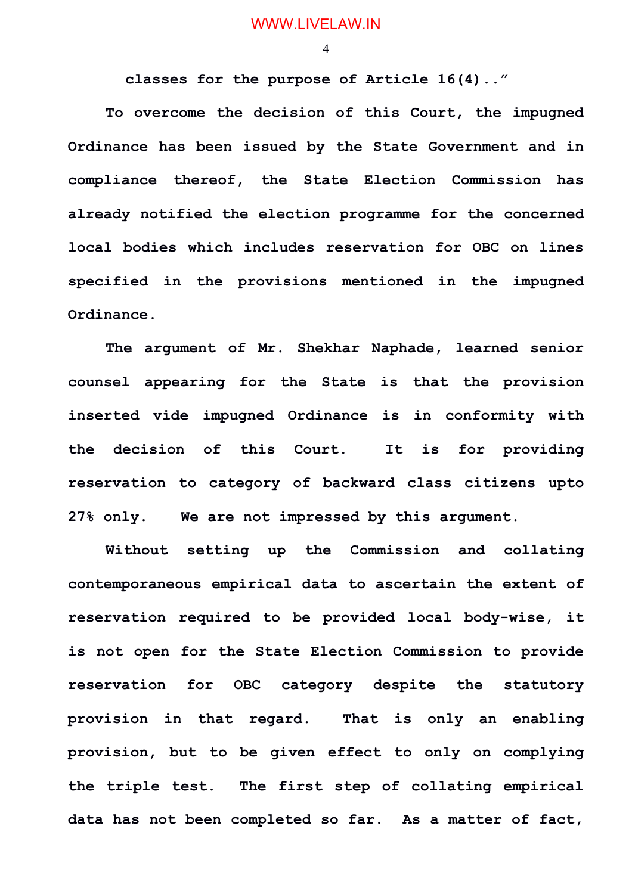4

**classes for the purpose of Article 16(4).."**

**To overcome the decision of this Court, the impugned Ordinance has been issued by the State Government and in compliance thereof, the State Election Commission has already notified the election programme for the concerned local bodies which includes reservation for OBC on lines specified in the provisions mentioned in the impugned Ordinance.**

**The argument of Mr. Shekhar Naphade, learned senior counsel appearing for the State is that the provision inserted vide impugned Ordinance is in conformity with the decision of this Court. It is for providing reservation to category of backward class citizens upto 27% only. We are not impressed by this argument.** 

**Without setting up the Commission and collating contemporaneous empirical data to ascertain the extent of reservation required to be provided local body-wise, it is not open for the State Election Commission to provide reservation for OBC category despite the statutory provision in that regard. That is only an enabling provision, but to be given effect to only on complying the triple test. The first step of collating empirical data has not been completed so far. As a matter of fact,**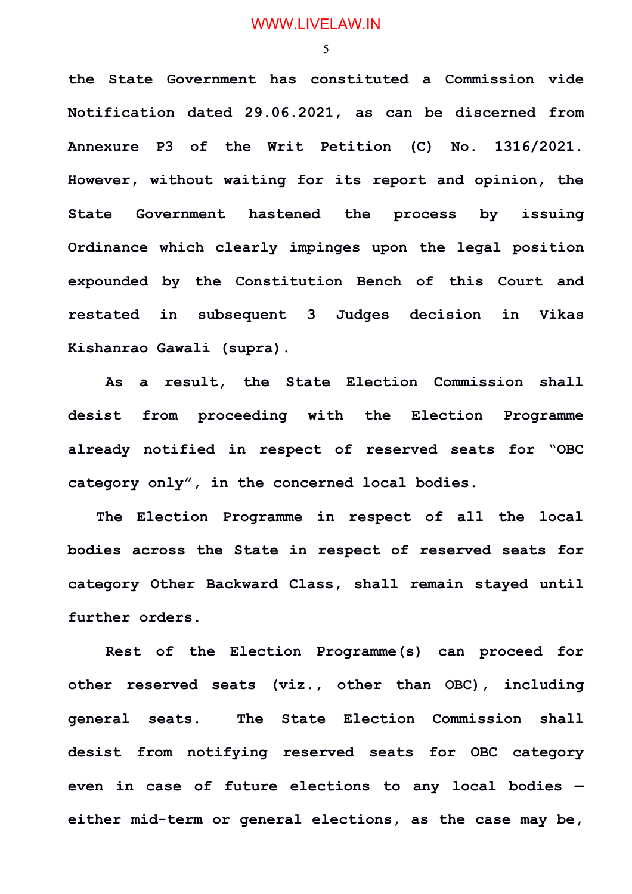5

**the State Government has constituted a Commission vide Notification dated 29.06.2021, as can be discerned from Annexure P3 of the Writ Petition (C) No. 1316/2021. However, without waiting for its report and opinion, the State Government hastened the process by issuing Ordinance which clearly impinges upon the legal position expounded by the Constitution Bench of this Court and restated in subsequent 3 Judges decision in Vikas Kishanrao Gawali (supra).**

**As a result, the State Election Commission shall desist from proceeding with the Election Programme already notified in respect of reserved seats for "OBC category only", in the concerned local bodies.**

 **The Election Programme in respect of all the local bodies across the State in respect of reserved seats for category Other Backward Class, shall remain stayed until further orders.**

**Rest of the Election Programme(s) can proceed for other reserved seats (viz., other than OBC), including general seats. The State Election Commission shall desist from notifying reserved seats for OBC category even in case of future elections to any local bodies either mid-term or general elections, as the case may be,**